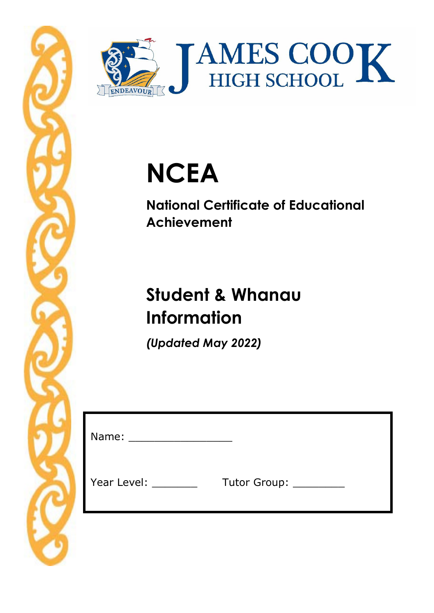



# **NCEA**

**National Certificate of Educational Achievement** 

# **Student & Whanau Information**

*(Updated May 2022)* 

| Name:       |                   |
|-------------|-------------------|
| Year Level: | Tutor Group: ____ |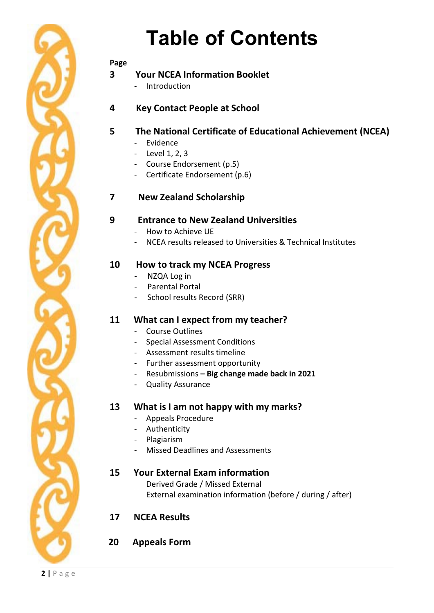

#### **Page**

### **3 Your NCEA Information Booklet**

- Introduction
- **4 Key Contact People at School**

### **5 The National Certificate of Educational Achievement (NCEA)**

- Evidence
- Level 1, 2, 3
- Course Endorsement (p.5)
- Certificate Endorsement (p.6)

### **7 New Zealand Scholarship**

#### **9 Entrance to New Zealand Universities**

- How to Achieve UE
- NCEA results released to Universities & Technical Institutes

### **10 How to track my NCEA Progress**

- NZQA Log in
- Parental Portal
- School results Record (SRR)

#### **11 What can I expect from my teacher?**

- Course Outlines
- Special Assessment Conditions
- Assessment results timeline
- Further assessment opportunity
- Resubmissions  **Big change made back in 2021**
- Quality Assurance

#### **13 What is I am not happy with my marks?**

- Appeals Procedure
- Authenticity
- Plagiarism
- Missed Deadlines and Assessments

#### **15 Your External Exam information**

Derived Grade / Missed External External examination information (before / during / after)

### **17 NCEA Results**

#### **20 Appeals Form**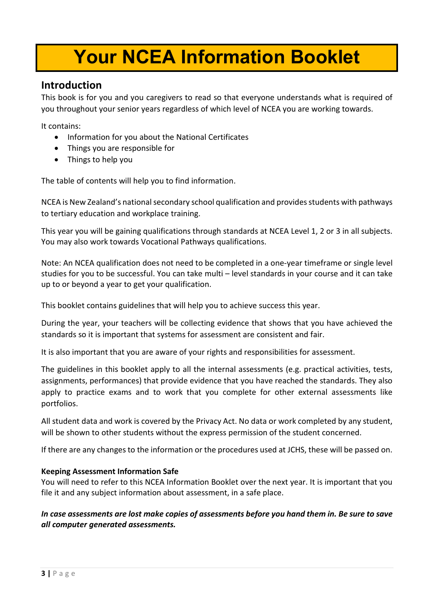# **Your NCEA Information Booklet**

# **Introduction**

This book is for you and you caregivers to read so that everyone understands what is required of you throughout your senior years regardless of which level of NCEA you are working towards.

It contains:

- Information for you about the National Certificates
- Things you are responsible for
- Things to help you

The table of contents will help you to find information.

NCEA is New Zealand's national secondary school qualification and provides students with pathways to tertiary education and workplace training.

This year you will be gaining qualifications through standards at NCEA Level 1, 2 or 3 in all subjects. You may also work towards Vocational Pathways qualifications.

Note: An NCEA qualification does not need to be completed in a one-year timeframe or single level studies for you to be successful. You can take multi – level standards in your course and it can take up to or beyond a year to get your qualification.

This booklet contains guidelines that will help you to achieve success this year.

During the year, your teachers will be collecting evidence that shows that you have achieved the standards so it is important that systems for assessment are consistent and fair.

It is also important that you are aware of your rights and responsibilities for assessment.

The guidelines in this booklet apply to all the internal assessments (e.g. practical activities, tests, assignments, performances) that provide evidence that you have reached the standards. They also apply to practice exams and to work that you complete for other external assessments like portfolios.

All student data and work is covered by the Privacy Act. No data or work completed by any student, will be shown to other students without the express permission of the student concerned.

If there are any changes to the information or the procedures used at JCHS, these will be passed on.

#### **Keeping Assessment Information Safe**

You will need to refer to this NCEA Information Booklet over the next year. It is important that you file it and any subject information about assessment, in a safe place.

*In case assessments are lost make copies of assessments before you hand them in. Be sure to save all computer generated assessments.*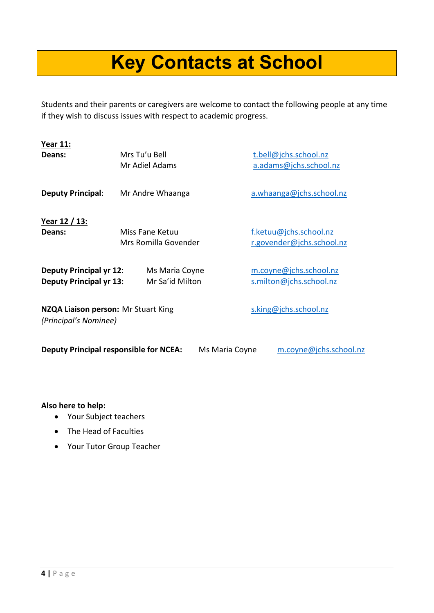# **Key Contacts at School**

Students and their parents or caregivers are welcome to contact the following people at any time if they wish to discuss issues with respect to academic progress.

| <b>Year 11:</b>                                                  |                                         |                                                     |
|------------------------------------------------------------------|-----------------------------------------|-----------------------------------------------------|
| Deans:                                                           | Mrs Tu'u Bell<br>Mr Adiel Adams         | t.bell@jchs.school.nz<br>a.adams@jchs.school.nz     |
| <b>Deputy Principal:</b>                                         | Mr Andre Whaanga                        | a.whaanga@jchs.school.nz                            |
| <u>Year 12 / 13:</u><br>Deans:                                   | Miss Fane Ketuu<br>Mrs Romilla Govender | f.ketuu@jchs.school.nz<br>r.govender@jchs.school.nz |
| <b>Deputy Principal yr 12:</b><br><b>Deputy Principal yr 13:</b> | Ms Maria Coyne<br>Mr Sa'id Milton       | m.coyne@jchs.school.nz<br>s.milton@jchs.school.nz   |
| NZQA Liaison person: Mr Stuart King<br>(Principal's Nominee)     |                                         | s.king@jchs.school.nz                               |
| <b>Deputy Principal responsible for NCEA:</b>                    | Ms Maria Coyne                          | m.coyne@jchs.school.nz                              |

**Also here to help:**

- Your Subject teachers
- The Head of Faculties
- Your Tutor Group Teacher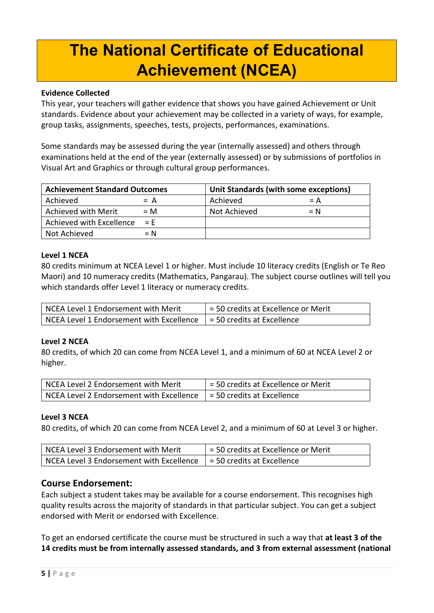# **The National Certificate of Educational Achievement (NCEA)**

#### **Evidence Collected**

This year, your teachers will gather evidence that shows you have gained Achievement or Unit standards. Evidence about your achievement may be collected in a variety of ways, for example, group tasks, assignments, speeches, tests, projects, performances, examinations.

Some standards may be assessed during the year (internally assessed) and others through examinations held at the end of the year (externally assessed) or by submissions of portfolios in Visual Art and Graphics or through cultural group performances.

| <b>Achievement Standard Outcomes</b> |       | Unit Standards (with some exceptions) |       |
|--------------------------------------|-------|---------------------------------------|-------|
| Achieved                             | $= A$ | Achieved                              | $= A$ |
| <b>Achieved with Merit</b>           | $= M$ | Not Achieved                          | $= N$ |
| Achieved with Excellence             | $=$ F |                                       |       |
| Not Achieved                         | $= N$ |                                       |       |

#### **Level 1 NCEA**

80 credits minimum at NCEA Level 1 or higher. Must include 10 literacy credits (English or Te Reo Maori) and 10 numeracy credits (Mathematics, Pangarau). The subject course outlines will tell you which standards offer Level 1 literacy or numeracy credits.

| NCEA Level 1 Endorsement with Merit                                     | = 50 credits at Excellence or Merit |
|-------------------------------------------------------------------------|-------------------------------------|
| NCEA Level 1 Endorsement with Excellence $ $ = 50 credits at Excellence |                                     |

#### **Level 2 NCEA**

80 credits, of which 20 can come from NCEA Level 1, and a minimum of 60 at NCEA Level 2 or higher.

| NCEA Level 2 Endorsement with Merit      | = 50 credits at Excellence or Merit |
|------------------------------------------|-------------------------------------|
| NCEA Level 2 Endorsement with Excellence | = 50 credits at Excellence          |

#### **Level 3 NCEA**

80 credits, of which 20 can come from NCEA Level 2, and a minimum of 60 at Level 3 or higher.

| NCEA Level 3 Endorsement with Merit      | = 50 credits at Excellence or Merit |
|------------------------------------------|-------------------------------------|
| NCEA Level 3 Endorsement with Excellence | $= 50$ credits at Excellence        |

#### **Course Endorsement:**

Each subject a student takes may be available for a course endorsement. This recognises high quality results across the majority of standards in that particular subject. You can get a subject endorsed with Merit or endorsed with Excellence.

To get an endorsed certificate the course must be structured in such a way that **at least 3 of the 14 credits must be from internally assessed standards, and 3 from external assessment (national**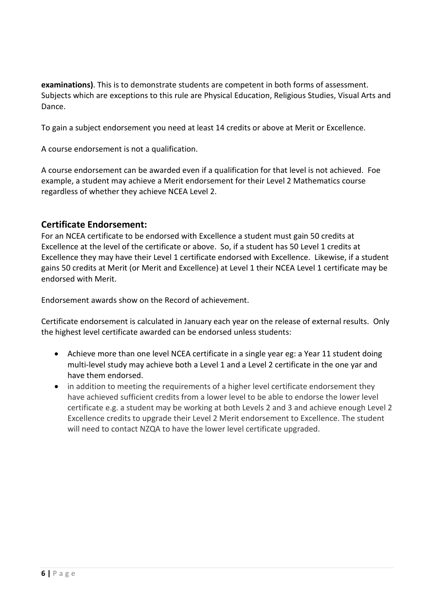**examinations)**. This is to demonstrate students are competent in both forms of assessment. Subjects which are exceptions to this rule are Physical Education, Religious Studies, Visual Arts and Dance.

To gain a subject endorsement you need at least 14 credits or above at Merit or Excellence.

A course endorsement is not a qualification.

A course endorsement can be awarded even if a qualification for that level is not achieved. Foe example, a student may achieve a Merit endorsement for their Level 2 Mathematics course regardless of whether they achieve NCEA Level 2.

#### **Certificate Endorsement:**

For an NCEA certificate to be endorsed with Excellence a student must gain 50 credits at Excellence at the level of the certificate or above. So, if a student has 50 Level 1 credits at Excellence they may have their Level 1 certificate endorsed with Excellence. Likewise, if a student gains 50 credits at Merit (or Merit and Excellence) at Level 1 their NCEA Level 1 certificate may be endorsed with Merit.

Endorsement awards show on the Record of achievement.

Certificate endorsement is calculated in January each year on the release of external results. Only the highest level certificate awarded can be endorsed unless students:

- Achieve more than one level NCEA certificate in a single year eg: a Year 11 student doing multi-level study may achieve both a Level 1 and a Level 2 certificate in the one yar and have them endorsed.
- in addition to meeting the requirements of a higher level certificate endorsement they have achieved sufficient credits from a lower level to be able to endorse the lower level certificate e.g. a student may be working at both Levels 2 and 3 and achieve enough Level 2 Excellence credits to upgrade their Level 2 Merit endorsement to Excellence. The student will need to contact NZQA to have the lower level certificate upgraded.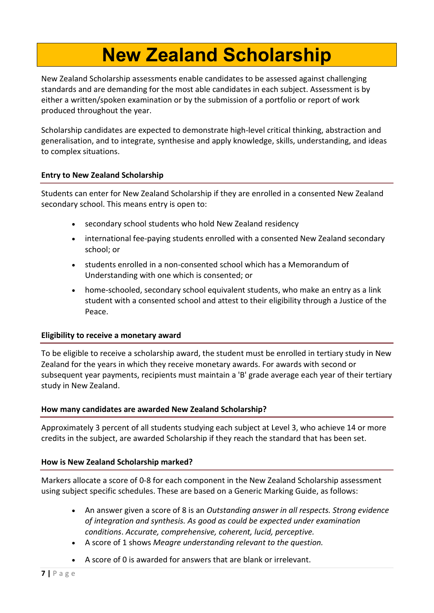# **New Zealand Scholarship**

New Zealand Scholarship assessments enable candidates to be assessed against challenging standards and are demanding for the most able candidates in each subject. Assessment is by either a written/spoken examination or by the submission of a portfolio or report of work produced throughout the year.

Scholarship candidates are expected to demonstrate high-level critical thinking, abstraction and generalisation, and to integrate, synthesise and apply knowledge, skills, understanding, and ideas to complex situations.

#### **Entry to New Zealand Scholarship**

Students can enter for New Zealand Scholarship if they are enrolled in a consented New Zealand secondary school. This means entry is open to:

- secondary school students who hold New Zealand residency
- international fee-paying students enrolled with a consented New Zealand secondary school; or
- students enrolled in a non-consented school which has a Memorandum of Understanding with one which is consented; or
- home-schooled, secondary school equivalent students, who make an entry as a link student with a consented school and attest to their eligibility through a Justice of the Peace.

#### **Eligibility to receive a monetary award**

To be eligible to receive a scholarship award, the student must be enrolled in tertiary study in New Zealand for the years in which they receive monetary awards. For awards with second or subsequent year payments, recipients must maintain a 'B' grade average each year of their tertiary study in New Zealand.

#### **How many candidates are awarded New Zealand Scholarship?**

Approximately 3 percent of all students studying each subject at Level 3, who achieve 14 or more credits in the subject, are awarded Scholarship if they reach the standard that has been set.

#### **How is New Zealand Scholarship marked?**

Markers allocate a score of 0-8 for each component in the New Zealand Scholarship assessment using subject specific schedules. These are based on a Generic Marking Guide, as follows:

- An answer given a score of 8 is an *Outstanding answer in all respects. Strong evidence of integration and synthesis. As good as could be expected under examination conditions*. *Accurate, comprehensive, coherent, lucid, perceptive.*
- A score of 1 shows *Meagre understanding relevant to the question.*
- A score of 0 is awarded for answers that are blank or irrelevant.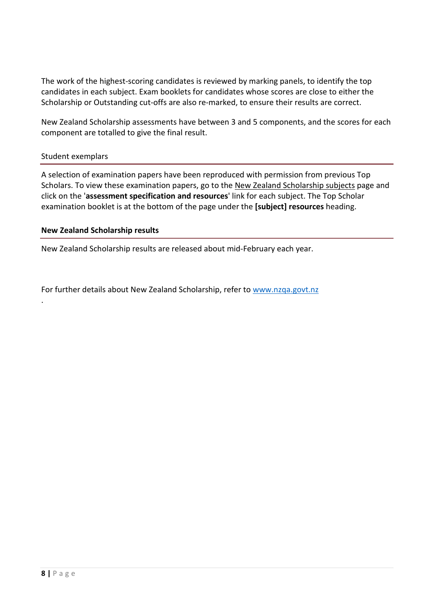The work of the highest-scoring candidates is reviewed by marking panels, to identify the top candidates in each subject. Exam booklets for candidates whose scores are close to either the Scholarship or Outstanding cut-offs are also re-marked, to ensure their results are correct.

New Zealand Scholarship assessments have between 3 and 5 components, and the scores for each component are totalled to give the final result.

#### Student exemplars

.

A selection of examination papers have been reproduced with permission from previous Top Scholars. To view these examination papers, go to the New Zealand [Scholarship](https://www.nzqa.govt.nz/qualifications-standards/awards/new-zealand-scholarship/scholarship-subjects/) subjects page and click on the '**assessment specification and resources**' link for each subject. The Top Scholar examination booklet is at the bottom of the page under the **[subject] resources** heading.

#### **New Zealand Scholarship results**

New Zealand Scholarship results are released about mid-February each year.

For further details about New Zealand Scholarship, refer t[o www.nzqa.govt.nz](http://www.nzqa.govt.nz/)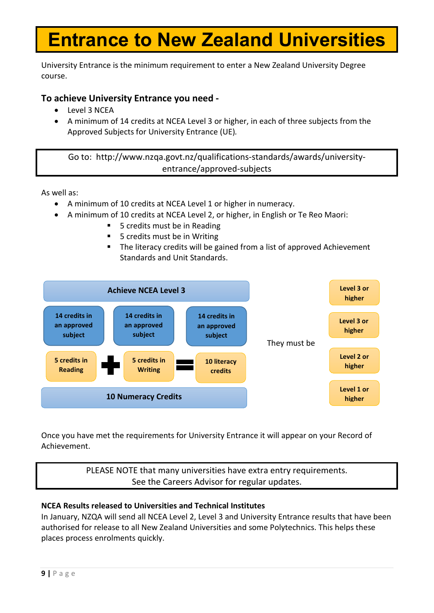# **Entrance to New Zealand Universities**

University Entrance is the minimum requirement to enter a New Zealand University Degree course.

### **To achieve University Entrance you need -**

- Level 3 NCEA
- A minimum of 14 credits at NCEA Level 3 or higher, in each of three subjects from the Approved Subjects for University Entrance (UE)*.*

Go to: http://www.nzqa.govt.nz/qualifications-standards/awards/universityentrance/approved-subjects

As well as:

- A minimum of 10 credits at NCEA Level 1 or higher in numeracy.
- A minimum of 10 credits at NCEA Level 2, or higher, in English or Te Reo Maori:
	- 5 credits must be in Reading
	- 5 credits must be in Writing
	- The literacy credits will be gained from a list of approved Achievement Standards and Unit Standards.



Once you have met the requirements for University Entrance it will appear on your Record of Achievement.

### PLEASE NOTE that many universities have extra entry requirements. See the Careers Advisor for regular updates.

#### **NCEA Results released to Universities and Technical Institutes**

In January, NZQA will send all NCEA Level 2, Level 3 and University Entrance results that have been authorised for release to all New Zealand Universities and some Polytechnics. This helps these places process enrolments quickly.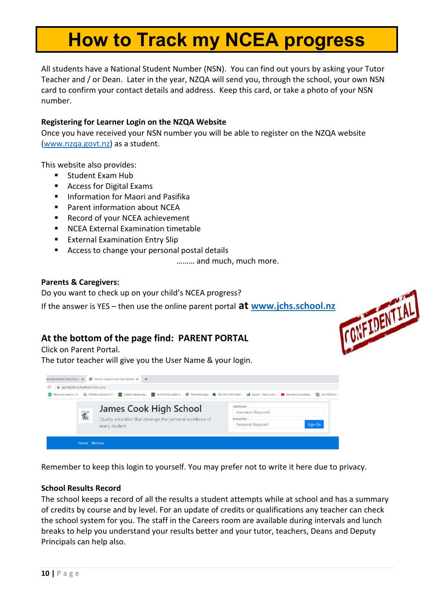# **How to Track my NCEA progress**

All students have a National Student Number (NSN). You can find out yours by asking your Tutor Teacher and / or Dean. Later in the year, NZQA will send you, through the school, your own NSN card to confirm your contact details and address. Keep this card, or take a photo of your NSN number.

#### **Registering for Learner Login on the NZQA Website**

Once you have received your NSN number you will be able to register on the NZQA website [\(www.nzqa.govt.nz\)](http://www.nzqa.govt.nz/) as a student.

This website also provides:

- Student Exam Hub
- Access for Digital Exams
- **Information for Maori and Pasifika**
- Parent information about NCEA
- Record of your NCEA achievement
- NCEA External Examination timetable
- **External Examination Entry Slip**
- Access to change your personal postal details

……… and much, much more.

#### **Parents & Caregivers:**

Do you want to check up on your child's NCEA progress?

If the answer is YES – then use the online parent portal **at [www.jchs.school.nz](http://www.jchs.school.nz/)**



### **At the bottom of the page find: PARENT PORTAL**

Click on Parent Portal.

The tutor teacher will give you the User Name & your login.



Remember to keep this login to yourself. You may prefer not to write it here due to privacy.

#### **School Results Record**

The school keeps a record of all the results a student attempts while at school and has a summary of credits by course and by level. For an update of credits or qualifications any teacher can check the school system for you. The staff in the Careers room are available during intervals and lunch breaks to help you understand your results better and your tutor, teachers, Deans and Deputy Principals can help also.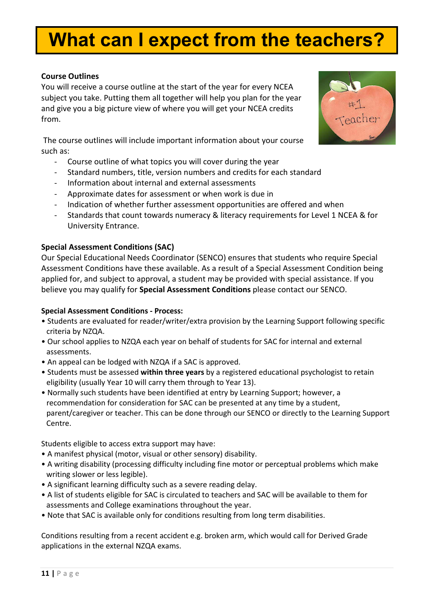# **What can I expect from the teachers?**

#### **Course Outlines**

You will receive a course outline at the start of the year for every NCEA subject you take. Putting them all together will help you plan for the year and give you a big picture view of where you will get your NCEA credits from.

The course outlines will include important information about your course such as:

- Course outline of what topics you will cover during the year
- Standard numbers, title, version numbers and credits for each standard
- Information about internal and external assessments
- Approximate dates for assessment or when work is due in
- Indication of whether further assessment opportunities are offered and when
- Standards that count towards numeracy & literacy requirements for Level 1 NCEA & for University Entrance.

#### **Special Assessment Conditions (SAC)**

Our Special Educational Needs Coordinator (SENCO) ensures that students who require Special Assessment Conditions have these available. As a result of a Special Assessment Condition being applied for, and subject to approval, a student may be provided with special assistance. If you believe you may qualify for **Special Assessment Conditions** please contact our SENCO.

#### **Special Assessment Conditions - Process:**

- Students are evaluated for reader/writer/extra provision by the Learning Support following specific criteria by NZQA.
- Our school applies to NZQA each year on behalf of students for SAC for internal and external assessments.
- An appeal can be lodged with NZQA if a SAC is approved.
- Students must be assessed **within three years** by a registered educational psychologist to retain eligibility (usually Year 10 will carry them through to Year 13).
- Normally such students have been identified at entry by Learning Support; however, a recommendation for consideration for SAC can be presented at any time by a student, parent/caregiver or teacher. This can be done through our SENCO or directly to the Learning Support Centre.

Students eligible to access extra support may have:

- A manifest physical (motor, visual or other sensory) disability.
- A writing disability (processing difficulty including fine motor or perceptual problems which make writing slower or less legible).
- A significant learning difficulty such as a severe reading delay.
- A list of students eligible for SAC is circulated to teachers and SAC will be available to them for assessments and College examinations throughout the year.
- Note that SAC is available only for conditions resulting from long term disabilities.

Conditions resulting from a recent accident e.g. broken arm, which would call for Derived Grade applications in the external NZQA exams.

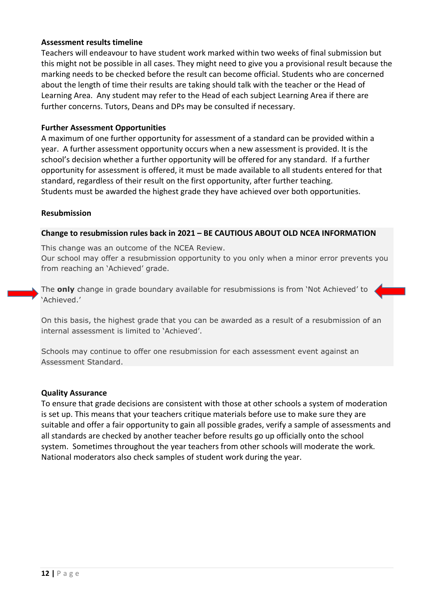#### **Assessment results timeline**

Teachers will endeavour to have student work marked within two weeks of final submission but this might not be possible in all cases. They might need to give you a provisional result because the marking needs to be checked before the result can become official. Students who are concerned about the length of time their results are taking should talk with the teacher or the Head of Learning Area. Any student may refer to the Head of each subject Learning Area if there are further concerns. Tutors, Deans and DPs may be consulted if necessary.

#### **Further Assessment Opportunities**

A maximum of one further opportunity for assessment of a standard can be provided within a year. A further assessment opportunity occurs when a new assessment is provided. It is the school's decision whether a further opportunity will be offered for any standard. If a further opportunity for assessment is offered, it must be made available to all students entered for that standard, regardless of their result on the first opportunity, after further teaching. Students must be awarded the highest grade they have achieved over both opportunities.

#### **Resubmission**

#### **Change to resubmission rules back in 2021 – BE CAUTIOUS ABOUT OLD NCEA INFORMATION**

This change was an outcome of the NCEA Review.

Our school may offer a resubmission opportunity to you only when a minor error prevents you from reaching an 'Achieved' grade.

The **only** change in grade boundary available for resubmissions is from 'Not Achieved' to 'Achieved.'

On this basis, the highest grade that you can be awarded as a result of a resubmission of an internal assessment is limited to 'Achieved'.

Schools may continue to offer one resubmission for each assessment event against an Assessment Standard.

#### **Quality Assurance**

To ensure that grade decisions are consistent with those at other schools a system of moderation is set up. This means that your teachers critique materials before use to make sure they are suitable and offer a fair opportunity to gain all possible grades, verify a sample of assessments and all standards are checked by another teacher before results go up officially onto the school system. Sometimes throughout the year teachers from other schools will moderate the work. National moderators also check samples of student work during the year.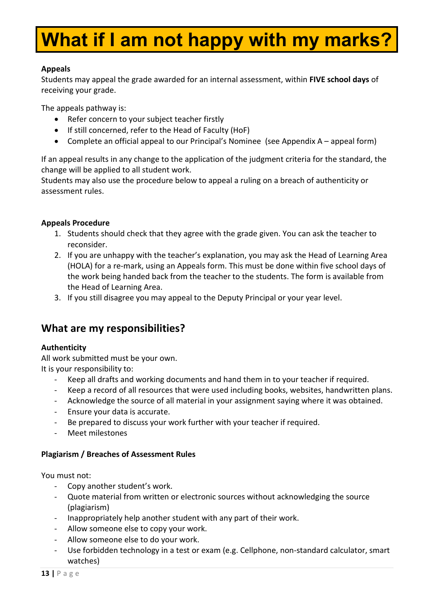# **What if I am not happy with my marks?**

#### **Appeals**

Students may appeal the grade awarded for an internal assessment, within **FIVE school days** of receiving your grade.

The appeals pathway is:

- Refer concern to your subject teacher firstly
- If still concerned, refer to the Head of Faculty (HoF)
- Complete an official appeal to our Principal's Nominee (see Appendix A appeal form)

If an appeal results in any change to the application of the judgment criteria for the standard, the change will be applied to all student work.

Students may also use the procedure below to appeal a ruling on a breach of authenticity or assessment rules.

#### **Appeals Procedure**

- 1. Students should check that they agree with the grade given. You can ask the teacher to reconsider.
- 2. If you are unhappy with the teacher's explanation, you may ask the Head of Learning Area (HOLA) for a re-mark, using an Appeals form. This must be done within five school days of the work being handed back from the teacher to the students. The form is available from the Head of Learning Area.
- 3. If you still disagree you may appeal to the Deputy Principal or your year level.

# **What are my responsibilities?**

#### **Authenticity**

All work submitted must be your own. It is your responsibility to:

- Keep all drafts and working documents and hand them in to your teacher if required.
- Keep a record of all resources that were used including books, websites, handwritten plans.
- Acknowledge the source of all material in your assignment saying where it was obtained.
- Ensure your data is accurate.
- Be prepared to discuss your work further with your teacher if required.
- Meet milestones

#### **Plagiarism / Breaches of Assessment Rules**

You must not:

- Copy another student's work.
- Quote material from written or electronic sources without acknowledging the source (plagiarism)
- Inappropriately help another student with any part of their work.
- Allow someone else to copy your work.
- Allow someone else to do your work.
- Use forbidden technology in a test or exam (e.g. Cellphone, non-standard calculator, smart watches)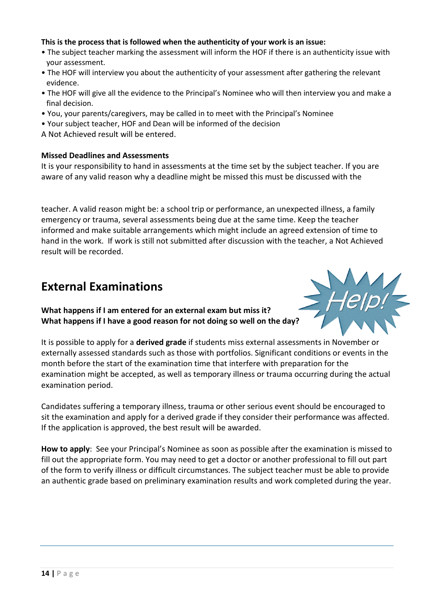#### **This is the process that is followed when the authenticity of your work is an issue:**

- The subject teacher marking the assessment will inform the HOF if there is an authenticity issue with your assessment.
- The HOF will interview you about the authenticity of your assessment after gathering the relevant evidence.
- The HOF will give all the evidence to the Principal's Nominee who will then interview you and make a final decision.
- You, your parents/caregivers, may be called in to meet with the Principal's Nominee
- Your subject teacher, HOF and Dean will be informed of the decision
- A Not Achieved result will be entered.

#### **Missed Deadlines and Assessments**

It is your responsibility to hand in assessments at the time set by the subject teacher. If you are aware of any valid reason why a deadline might be missed this must be discussed with the

teacher. A valid reason might be: a school trip or performance, an unexpected illness, a family emergency or trauma, several assessments being due at the same time. Keep the teacher informed and make suitable arrangements which might include an agreed extension of time to hand in the work. If work is still not submitted after discussion with the teacher, a Not Achieved result will be recorded.

# **External Examinations**

**What happens if I am entered for an external exam but miss it? What happens if I have a good reason for not doing so well on the day?**



It is possible to apply for a **derived grade** if students miss external assessments in November or externally assessed standards such as those with portfolios. Significant conditions or events in the month before the start of the examination time that interfere with preparation for the examination might be accepted, as well as temporary illness or trauma occurring during the actual examination period.

Candidates suffering a temporary illness, trauma or other serious event should be encouraged to sit the examination and apply for a derived grade if they consider their performance was affected. If the application is approved, the best result will be awarded.

**How to apply**: See your Principal's Nominee as soon as possible after the examination is missed to fill out the appropriate form. You may need to get a doctor or another professional to fill out part of the form to verify illness or difficult circumstances. The subject teacher must be able to provide an authentic grade based on preliminary examination results and work completed during the year.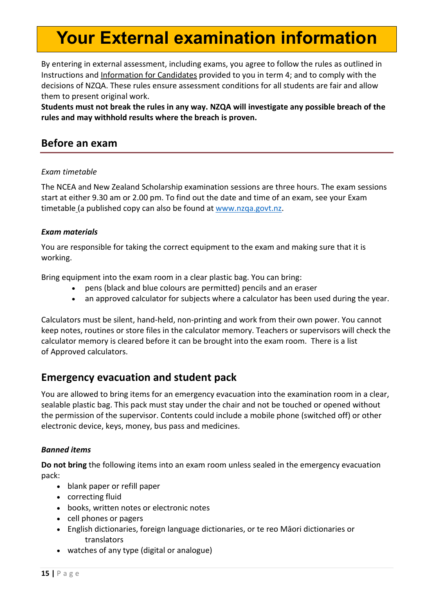# **Your External examination information**

By entering in external assessment, including exams, you agree to follow the rules as outlined in Instructions and [Information](https://www.nzqa.govt.nz/ncea/ncea-exams-and-portfolios/external/) for Candidates provided to you in term 4; and to comply with the decisions of NZQA. These rules ensure assessment conditions for all students are fair and allow them to present original work.

**Students must not break the rules in any way. NZQA will investigate any possible [breach](https://www.nzqa.govt.nz/ncea/ncea-rules-and-procedures/breaches-of-examination-rules/) of the [rules](https://www.nzqa.govt.nz/ncea/ncea-rules-and-procedures/breaches-of-examination-rules/) and may withhold results where the breach is proven.**

# **Before an exam**

#### *Exam timetable*

The NCEA and New Zealand Scholarship examination sessions are three hours. The exam sessions start at either 9.30 am or 2.00 pm. To find out the date and time of an exam, see your [Exam](https://www.nzqa.govt.nz/ncea/ncea-exams-and-portfolios/external/national-secondary-examinations-timetable/) [timetable](https://www.nzqa.govt.nz/ncea/ncea-exams-and-portfolios/external/national-secondary-examinations-timetable/) (a published copy can also be found at [www.nzqa.govt.nz.](http://www.nzqa.govt.nz/)

#### *Exam materials*

You are responsible for taking the correct equipment to the exam and making sure that it is working.

Bring equipment into the exam room in a clear plastic bag. You can bring:

- pens (black and blue colours are permitted) pencils and an eraser
- an approved calculator for subjects where a calculator has been used during the year.

Calculators must be silent, hand-held, non-printing and work from their own power. You cannot keep notes, routines or store files in the calculator memory. Teachers or supervisors will check the calculator memory is cleared before it can be brought into the exam room. There is a list of Approved [calculators.](https://www.nzqa.govt.nz/ncea/subjects/approved-calculator-list/)

# **Emergency evacuation and student pack**

You are allowed to bring items for an emergency evacuation into the examination room in a clear, sealable plastic bag. This pack must stay under the chair and not be touched or opened without the permission of the supervisor. Contents could include a mobile phone (switched off) or other electronic device, keys, money, bus pass and medicines.

#### *Banned items*

**Do not bring** the following items into an exam room unless sealed in the emergency evacuation pack:

- blank paper or refill paper
- correcting fluid
- books, written notes or electronic notes
- cell phones or pagers
- English dictionaries, foreign language dictionaries, or te reo Māori dictionaries or translators
- watches of any type (digital or analogue)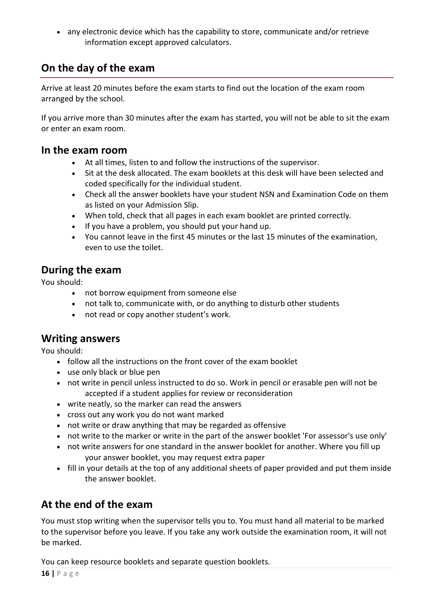• any electronic device which has the capability to store, communicate and/or retrieve information except approved calculators.

# **On the day of the exam**

Arrive at least 20 minutes before the exam starts to find out the location of the exam room arranged by the school.

If you arrive more than 30 minutes after the exam has started, you will not be able to sit the exam or enter an exam room.

### **In the exam room**

- At all times, listen to and follow the instructions of the supervisor.
- Sit at the desk allocated. The exam booklets at this desk will have been selected and coded specifically for the individual student.
- Check all the answer booklets have your student NSN and Examination Code on them as listed on your Admission Slip.
- When told, check that all pages in each exam booklet are printed correctly.
- If you have a problem, you should put your hand up.
- You cannot leave in the first 45 minutes or the last 15 minutes of the examination, even to use the toilet.

### **During the exam**

You should:

- not borrow equipment from someone else
- not talk to, communicate with, or do anything to disturb other students
- not read or copy another student's work.

# **Writing answers**

You should:

- follow all the instructions on the front cover of the exam booklet
- use only black or blue pen
- not write in pencil unless instructed to do so. Work in pencil or erasable pen will not be accepted if a student applies for review or reconsideration
- write neatly, so the marker can read the answers
- cross out any work you do not want marked
- not write or draw anything that may be regarded as offensive
- not write to the marker or write in the part of the answer booklet 'For assessor's use only'
- not write answers for one standard in the answer booklet for another. Where you fill up your answer booklet, you may request extra paper
- fill in your details at the top of any additional sheets of paper provided and put them inside the answer booklet.

# **At the end of the exam**

You must stop writing when the supervisor tells you to. You must hand all material to be marked to the supervisor before you leave. If you take any work outside the examination room, it will not be marked.

You can keep resource booklets and separate question booklets.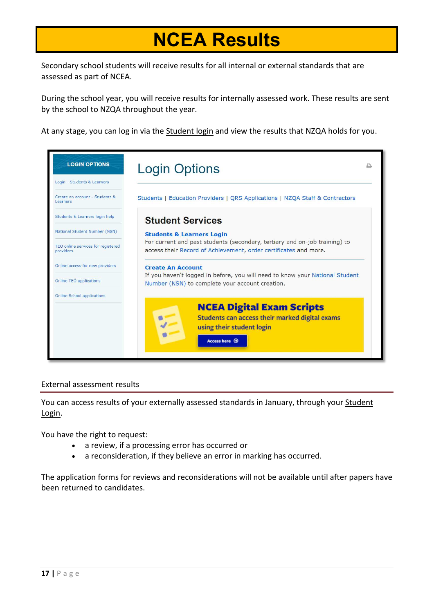# **NCEA Results**

Secondary school students will receive results for all internal or external standards that are assessed as part of NCEA.

During the school year, you will receive results for internally assessed work. These results are sent by the school to NZQA throughout the year.

At any stage, you can log in via the [Student](https://secure.nzqa.govt.nz/for-learners/records/login.do) login and view the results that NZQA holds for you.



#### External assessment results

You can access results of your externally assessed standards in January, through your [Student](https://secure.nzqa.govt.nz/for-learners/records/login.do) [Login.](https://secure.nzqa.govt.nz/for-learners/records/login.do)

You have the right to request:

- a review, if a processing error has occurred or
- a reconsideration, if they believe an error in marking has occurred.

The application forms for reviews and reconsiderations will not be available until after papers have been returned to candidates.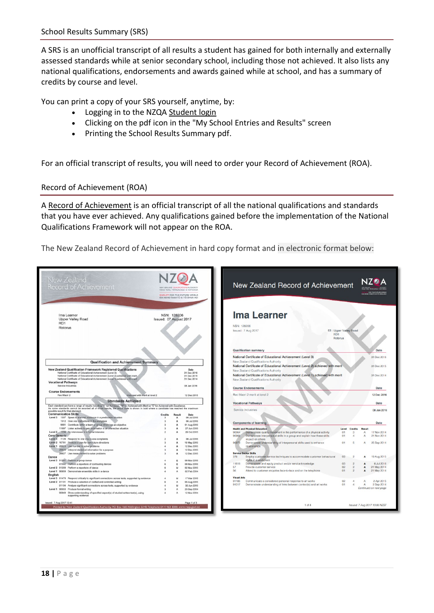A SRS is an unofficial transcript of all results a student has gained for both internally and externally assessed standards while at senior secondary school, including those not achieved. It also lists any national qualifications, endorsements and awards gained while at school, and has a summary of credits by course and level.

You can print a copy of your SRS yourself, anytime, by:

- Logging in to the NZQA [Student](https://secure.nzqa.govt.nz/for-learners/records/login.do) login
- Clicking on the pdf icon in the "My School Entries and Results" screen
- Printing the School Results Summary pdf.

For an official transcript of results, you will need to order your Record of Achievement (ROA).

#### Record of Achievement (ROA)

A Record of [Achievement](https://www.nzqa.govt.nz/qualifications-standards/results-2/record-of-achievement/) is an official transcript of all the national qualifications and standards that you have ever achieved. Any qualifications gained before the implementation of the National Qualifications Framework will not appear on the ROA.

The New Zealand Record of Achievement in hard copy format and in electronic format below:

| <b>Ima Learner</b><br>Ima Learner<br>NSN: 128206<br><b>Upper Valley Road</b><br>Issued: 07 August 2017<br>RD <sub>1</sub><br><b>NSN: 128206</b><br>Rotorua<br>□ : Upper Valley Road<br>Issued: 7 Aug 2017<br>RD <sub>1</sub><br>Rotorua<br><b>Qualification summary</b><br>National Certificate of Educational Achievement (Level 3)<br>New Zealand Qualifications Authority<br><b>Qualification and Achievement Summary</b><br>National Certificate of Educational Achievement (Level 2) achieved with merit<br><b>New Zealand Qualification Framework Registered Qualifications</b><br>Date<br>New Zealand Qualifications Authority<br>National Certificate of Educational Achievement (Level 3)<br>31 Dec 2016<br>National Certificate of Educational Achievement (Level 1) achieved with merit<br>National Certificate of Educational Achievement (Level 2) achieved with merit,<br>31 Dec 2015<br>National Certificate of Educational Achievement (Level 1) achieved with ment<br>31 Dec 2014<br>New Zealand Qualifications Authority<br><b>Vocational Pathways</b><br>Service Industries<br>08 Jan 2016<br><b>Course Endorsements</b><br><b>Course Endorsements</b><br>Reo Maori 2 merit at level 2<br>Reo Maori 2<br>Endorsed with merit at level 2<br>12 Dec 2016<br><b>Standards Achieved</b><br><b>Vocational Pathways</b><br>Each standard can have a range of results including "A" for Achieved, "M" for Achieved with Merit or "E" for Achieved with Excellence<br>As some standards cannot be awarded all of those results, the result code is shown in bold where a candidate has reached the maximum<br>Service Industries<br>possible result for that standard.<br><b>Communication Skills</b><br>Credits<br>Date<br>Result<br>Level 3 1307 Speak to a known audience in a predictable situation<br>06 Jul 2016<br>$\mathbf{3}$<br>A<br>1312 Give oral instructions in the workplace<br>06 Jul 2016<br>3<br>A<br><b>Components of learning</b><br>9681 Contribute within a team or group which has an objective<br>01 Aug 2016<br>$\overline{3}$<br>A<br>11097 Listen actively to gain information in an interactive situation<br>27 Jun 2016<br>$\mathbf{3}$<br>A<br><b>Health and Physical Education</b><br>Level<br><b>Credits</b><br>Result<br>Level 2 1294 Be interviewed in a formal interview<br>29 Oct 2015<br>90964<br>- Demonstrate quality movement in the performance of a physical activity<br>01<br>$\mathbf{3}$<br>A<br><b>Core Generic</b><br>90966<br>Demonstrate interpersonal skills in a group and explain how these skills<br>01<br>$\overline{4}$<br>Α<br>Level 3 7126 Respond to oral one-to-one complaints<br>06 Jul 2016<br>impact on others<br>Level 2 10781 Produce a plan for own future directions<br>19 May 2015<br>90973<br>Demonstrate understanding of interpersonal skills used to enhance<br>O <sub>1</sub><br>$\mathbf{S}$<br>А<br>Level 1 26623 Use number to solve problems<br>12 Dec 2015<br>relationships<br>26626 Interpret statistical information for a purpose<br>12 Dec 2015<br><b>Service Sector Skills</b><br>26627 Use measurement to solve problems<br>12 Dac 2015<br>376<br>Employ customer service techniques to accommodate customer behavioural<br>03<br>$\overline{2}$<br>Dance<br>styles in a workplace<br>Level 3 91591 Perform a group dance<br>09 Nov 2016<br>11818<br>Demonstrate and apply product and/or service knowledge<br>03<br>$\overline{2}$<br>A<br>91592 Perform a repertoire of contrasting dances<br>09 Nov 2016<br>Е<br>02<br>57<br>Provide customer service<br>$\overline{2}$<br>A<br>Level 2 91209 Perform a repertoire of dance<br>M<br>02 Nov 2015<br>56<br>Attend to customer enquiries face-to-face and on the telephone<br>O1<br>$\overline{2}$<br>A<br>Level 1 90859 Demonstrate ensemble skills in a dance<br>02 Feb 2014<br>A<br>English<br><b>Visual Arts</b><br>Level 3 91478 Respond critically to significant connections across texts, supported by evidence<br>м<br>17 Mar 2016<br>91185<br>Communicate a considered personal response to art works<br>02<br>4<br>Level 2 91101 Produce a selection of crafted and controlled writing<br>05 Aug 2015<br>Α<br>91017<br>Demonstrate understanding of links between context(s) and art works<br>O <sub>1</sub><br>A<br>$\boldsymbol{A}$<br>91104 Analyse significant connections across texts, supported by evidence<br>M<br>30 Jun 2015<br>25 Sep 2014<br>Level 1 90053 Produce formal writing<br>Α<br>90849 Show understanding of specified aspect(s) of studied written text(s), using<br>12 Nov 2014<br>supporting evidence | Record of Achievement<br>NEW ZEALAND QUALIFICATIONS AUTHORITY<br>HANA TOHU MATALBANGA O AOTEAROA<br><b>OUALIFY FOR THE FUTURE WORLD</b><br>KIA NOHO TAKATŪ KI TÕ ÂMUA AO! | New Zealand Record of Achievement |                        |             |
|----------------------------------------------------------------------------------------------------------------------------------------------------------------------------------------------------------------------------------------------------------------------------------------------------------------------------------------------------------------------------------------------------------------------------------------------------------------------------------------------------------------------------------------------------------------------------------------------------------------------------------------------------------------------------------------------------------------------------------------------------------------------------------------------------------------------------------------------------------------------------------------------------------------------------------------------------------------------------------------------------------------------------------------------------------------------------------------------------------------------------------------------------------------------------------------------------------------------------------------------------------------------------------------------------------------------------------------------------------------------------------------------------------------------------------------------------------------------------------------------------------------------------------------------------------------------------------------------------------------------------------------------------------------------------------------------------------------------------------------------------------------------------------------------------------------------------------------------------------------------------------------------------------------------------------------------------------------------------------------------------------------------------------------------------------------------------------------------------------------------------------------------------------------------------------------------------------------------------------------------------------------------------------------------------------------------------------------------------------------------------------------------------------------------------------------------------------------------------------------------------------------------------------------------------------------------------------------------------------------------------------------------------------------------------------------------------------------------------------------------------------------------------------------------------------------------------------------------------------------------------------------------------------------------------------------------------------------------------------------------------------------------------------------------------------------------------------------------------------------------------------------------------------------------------------------------------------------------------------------------------------------------------------------------------------------------------------------------------------------------------------------------------------------------------------------------------------------------------------------------------------------------------------------------------------------------------------------------------------------------------------------------------------------------------------------------------------------------------------------------------------------------------------------------------------------------------------------------------------------------------------------------------------------------------------------------------------------------------------------------------------------------------------------------------------------------------------------------------------------------------------------------------------------------------------------------------------------------------------------------------------------------------------------------------------------------------------------------------------------------------------------------------------------------------------------------------------------------------------------------------------------------------------------------------------------------------------------|---------------------------------------------------------------------------------------------------------------------------------------------------------------------------|-----------------------------------|------------------------|-------------|
|                                                                                                                                                                                                                                                                                                                                                                                                                                                                                                                                                                                                                                                                                                                                                                                                                                                                                                                                                                                                                                                                                                                                                                                                                                                                                                                                                                                                                                                                                                                                                                                                                                                                                                                                                                                                                                                                                                                                                                                                                                                                                                                                                                                                                                                                                                                                                                                                                                                                                                                                                                                                                                                                                                                                                                                                                                                                                                                                                                                                                                                                                                                                                                                                                                                                                                                                                                                                                                                                                                                                                                                                                                                                                                                                                                                                                                                                                                                                                                                                                                                                                                                                                                                                                                                                                                                                                                                                                                                                                                                                                                                        |                                                                                                                                                                           |                                   |                        |             |
|                                                                                                                                                                                                                                                                                                                                                                                                                                                                                                                                                                                                                                                                                                                                                                                                                                                                                                                                                                                                                                                                                                                                                                                                                                                                                                                                                                                                                                                                                                                                                                                                                                                                                                                                                                                                                                                                                                                                                                                                                                                                                                                                                                                                                                                                                                                                                                                                                                                                                                                                                                                                                                                                                                                                                                                                                                                                                                                                                                                                                                                                                                                                                                                                                                                                                                                                                                                                                                                                                                                                                                                                                                                                                                                                                                                                                                                                                                                                                                                                                                                                                                                                                                                                                                                                                                                                                                                                                                                                                                                                                                                        |                                                                                                                                                                           |                                   |                        | Date        |
|                                                                                                                                                                                                                                                                                                                                                                                                                                                                                                                                                                                                                                                                                                                                                                                                                                                                                                                                                                                                                                                                                                                                                                                                                                                                                                                                                                                                                                                                                                                                                                                                                                                                                                                                                                                                                                                                                                                                                                                                                                                                                                                                                                                                                                                                                                                                                                                                                                                                                                                                                                                                                                                                                                                                                                                                                                                                                                                                                                                                                                                                                                                                                                                                                                                                                                                                                                                                                                                                                                                                                                                                                                                                                                                                                                                                                                                                                                                                                                                                                                                                                                                                                                                                                                                                                                                                                                                                                                                                                                                                                                                        |                                                                                                                                                                           |                                   |                        | 31 Dec 2016 |
|                                                                                                                                                                                                                                                                                                                                                                                                                                                                                                                                                                                                                                                                                                                                                                                                                                                                                                                                                                                                                                                                                                                                                                                                                                                                                                                                                                                                                                                                                                                                                                                                                                                                                                                                                                                                                                                                                                                                                                                                                                                                                                                                                                                                                                                                                                                                                                                                                                                                                                                                                                                                                                                                                                                                                                                                                                                                                                                                                                                                                                                                                                                                                                                                                                                                                                                                                                                                                                                                                                                                                                                                                                                                                                                                                                                                                                                                                                                                                                                                                                                                                                                                                                                                                                                                                                                                                                                                                                                                                                                                                                                        |                                                                                                                                                                           |                                   |                        | 31 Dec 2015 |
|                                                                                                                                                                                                                                                                                                                                                                                                                                                                                                                                                                                                                                                                                                                                                                                                                                                                                                                                                                                                                                                                                                                                                                                                                                                                                                                                                                                                                                                                                                                                                                                                                                                                                                                                                                                                                                                                                                                                                                                                                                                                                                                                                                                                                                                                                                                                                                                                                                                                                                                                                                                                                                                                                                                                                                                                                                                                                                                                                                                                                                                                                                                                                                                                                                                                                                                                                                                                                                                                                                                                                                                                                                                                                                                                                                                                                                                                                                                                                                                                                                                                                                                                                                                                                                                                                                                                                                                                                                                                                                                                                                                        |                                                                                                                                                                           |                                   |                        | 31 Dec 2014 |
|                                                                                                                                                                                                                                                                                                                                                                                                                                                                                                                                                                                                                                                                                                                                                                                                                                                                                                                                                                                                                                                                                                                                                                                                                                                                                                                                                                                                                                                                                                                                                                                                                                                                                                                                                                                                                                                                                                                                                                                                                                                                                                                                                                                                                                                                                                                                                                                                                                                                                                                                                                                                                                                                                                                                                                                                                                                                                                                                                                                                                                                                                                                                                                                                                                                                                                                                                                                                                                                                                                                                                                                                                                                                                                                                                                                                                                                                                                                                                                                                                                                                                                                                                                                                                                                                                                                                                                                                                                                                                                                                                                                        |                                                                                                                                                                           |                                   |                        | Date        |
|                                                                                                                                                                                                                                                                                                                                                                                                                                                                                                                                                                                                                                                                                                                                                                                                                                                                                                                                                                                                                                                                                                                                                                                                                                                                                                                                                                                                                                                                                                                                                                                                                                                                                                                                                                                                                                                                                                                                                                                                                                                                                                                                                                                                                                                                                                                                                                                                                                                                                                                                                                                                                                                                                                                                                                                                                                                                                                                                                                                                                                                                                                                                                                                                                                                                                                                                                                                                                                                                                                                                                                                                                                                                                                                                                                                                                                                                                                                                                                                                                                                                                                                                                                                                                                                                                                                                                                                                                                                                                                                                                                                        |                                                                                                                                                                           |                                   |                        | 12 Dec 2016 |
|                                                                                                                                                                                                                                                                                                                                                                                                                                                                                                                                                                                                                                                                                                                                                                                                                                                                                                                                                                                                                                                                                                                                                                                                                                                                                                                                                                                                                                                                                                                                                                                                                                                                                                                                                                                                                                                                                                                                                                                                                                                                                                                                                                                                                                                                                                                                                                                                                                                                                                                                                                                                                                                                                                                                                                                                                                                                                                                                                                                                                                                                                                                                                                                                                                                                                                                                                                                                                                                                                                                                                                                                                                                                                                                                                                                                                                                                                                                                                                                                                                                                                                                                                                                                                                                                                                                                                                                                                                                                                                                                                                                        |                                                                                                                                                                           |                                   |                        |             |
|                                                                                                                                                                                                                                                                                                                                                                                                                                                                                                                                                                                                                                                                                                                                                                                                                                                                                                                                                                                                                                                                                                                                                                                                                                                                                                                                                                                                                                                                                                                                                                                                                                                                                                                                                                                                                                                                                                                                                                                                                                                                                                                                                                                                                                                                                                                                                                                                                                                                                                                                                                                                                                                                                                                                                                                                                                                                                                                                                                                                                                                                                                                                                                                                                                                                                                                                                                                                                                                                                                                                                                                                                                                                                                                                                                                                                                                                                                                                                                                                                                                                                                                                                                                                                                                                                                                                                                                                                                                                                                                                                                                        |                                                                                                                                                                           |                                   |                        | Date        |
|                                                                                                                                                                                                                                                                                                                                                                                                                                                                                                                                                                                                                                                                                                                                                                                                                                                                                                                                                                                                                                                                                                                                                                                                                                                                                                                                                                                                                                                                                                                                                                                                                                                                                                                                                                                                                                                                                                                                                                                                                                                                                                                                                                                                                                                                                                                                                                                                                                                                                                                                                                                                                                                                                                                                                                                                                                                                                                                                                                                                                                                                                                                                                                                                                                                                                                                                                                                                                                                                                                                                                                                                                                                                                                                                                                                                                                                                                                                                                                                                                                                                                                                                                                                                                                                                                                                                                                                                                                                                                                                                                                                        |                                                                                                                                                                           |                                   |                        | 08 Jan 2016 |
|                                                                                                                                                                                                                                                                                                                                                                                                                                                                                                                                                                                                                                                                                                                                                                                                                                                                                                                                                                                                                                                                                                                                                                                                                                                                                                                                                                                                                                                                                                                                                                                                                                                                                                                                                                                                                                                                                                                                                                                                                                                                                                                                                                                                                                                                                                                                                                                                                                                                                                                                                                                                                                                                                                                                                                                                                                                                                                                                                                                                                                                                                                                                                                                                                                                                                                                                                                                                                                                                                                                                                                                                                                                                                                                                                                                                                                                                                                                                                                                                                                                                                                                                                                                                                                                                                                                                                                                                                                                                                                                                                                                        |                                                                                                                                                                           |                                   |                        |             |
|                                                                                                                                                                                                                                                                                                                                                                                                                                                                                                                                                                                                                                                                                                                                                                                                                                                                                                                                                                                                                                                                                                                                                                                                                                                                                                                                                                                                                                                                                                                                                                                                                                                                                                                                                                                                                                                                                                                                                                                                                                                                                                                                                                                                                                                                                                                                                                                                                                                                                                                                                                                                                                                                                                                                                                                                                                                                                                                                                                                                                                                                                                                                                                                                                                                                                                                                                                                                                                                                                                                                                                                                                                                                                                                                                                                                                                                                                                                                                                                                                                                                                                                                                                                                                                                                                                                                                                                                                                                                                                                                                                                        |                                                                                                                                                                           |                                   |                        |             |
|                                                                                                                                                                                                                                                                                                                                                                                                                                                                                                                                                                                                                                                                                                                                                                                                                                                                                                                                                                                                                                                                                                                                                                                                                                                                                                                                                                                                                                                                                                                                                                                                                                                                                                                                                                                                                                                                                                                                                                                                                                                                                                                                                                                                                                                                                                                                                                                                                                                                                                                                                                                                                                                                                                                                                                                                                                                                                                                                                                                                                                                                                                                                                                                                                                                                                                                                                                                                                                                                                                                                                                                                                                                                                                                                                                                                                                                                                                                                                                                                                                                                                                                                                                                                                                                                                                                                                                                                                                                                                                                                                                                        |                                                                                                                                                                           |                                   |                        | Date        |
|                                                                                                                                                                                                                                                                                                                                                                                                                                                                                                                                                                                                                                                                                                                                                                                                                                                                                                                                                                                                                                                                                                                                                                                                                                                                                                                                                                                                                                                                                                                                                                                                                                                                                                                                                                                                                                                                                                                                                                                                                                                                                                                                                                                                                                                                                                                                                                                                                                                                                                                                                                                                                                                                                                                                                                                                                                                                                                                                                                                                                                                                                                                                                                                                                                                                                                                                                                                                                                                                                                                                                                                                                                                                                                                                                                                                                                                                                                                                                                                                                                                                                                                                                                                                                                                                                                                                                                                                                                                                                                                                                                                        |                                                                                                                                                                           |                                   |                        |             |
|                                                                                                                                                                                                                                                                                                                                                                                                                                                                                                                                                                                                                                                                                                                                                                                                                                                                                                                                                                                                                                                                                                                                                                                                                                                                                                                                                                                                                                                                                                                                                                                                                                                                                                                                                                                                                                                                                                                                                                                                                                                                                                                                                                                                                                                                                                                                                                                                                                                                                                                                                                                                                                                                                                                                                                                                                                                                                                                                                                                                                                                                                                                                                                                                                                                                                                                                                                                                                                                                                                                                                                                                                                                                                                                                                                                                                                                                                                                                                                                                                                                                                                                                                                                                                                                                                                                                                                                                                                                                                                                                                                                        |                                                                                                                                                                           |                                   |                        | 17 Nov 2014 |
|                                                                                                                                                                                                                                                                                                                                                                                                                                                                                                                                                                                                                                                                                                                                                                                                                                                                                                                                                                                                                                                                                                                                                                                                                                                                                                                                                                                                                                                                                                                                                                                                                                                                                                                                                                                                                                                                                                                                                                                                                                                                                                                                                                                                                                                                                                                                                                                                                                                                                                                                                                                                                                                                                                                                                                                                                                                                                                                                                                                                                                                                                                                                                                                                                                                                                                                                                                                                                                                                                                                                                                                                                                                                                                                                                                                                                                                                                                                                                                                                                                                                                                                                                                                                                                                                                                                                                                                                                                                                                                                                                                                        |                                                                                                                                                                           |                                   |                        | 21 Nov 2014 |
|                                                                                                                                                                                                                                                                                                                                                                                                                                                                                                                                                                                                                                                                                                                                                                                                                                                                                                                                                                                                                                                                                                                                                                                                                                                                                                                                                                                                                                                                                                                                                                                                                                                                                                                                                                                                                                                                                                                                                                                                                                                                                                                                                                                                                                                                                                                                                                                                                                                                                                                                                                                                                                                                                                                                                                                                                                                                                                                                                                                                                                                                                                                                                                                                                                                                                                                                                                                                                                                                                                                                                                                                                                                                                                                                                                                                                                                                                                                                                                                                                                                                                                                                                                                                                                                                                                                                                                                                                                                                                                                                                                                        |                                                                                                                                                                           |                                   |                        |             |
|                                                                                                                                                                                                                                                                                                                                                                                                                                                                                                                                                                                                                                                                                                                                                                                                                                                                                                                                                                                                                                                                                                                                                                                                                                                                                                                                                                                                                                                                                                                                                                                                                                                                                                                                                                                                                                                                                                                                                                                                                                                                                                                                                                                                                                                                                                                                                                                                                                                                                                                                                                                                                                                                                                                                                                                                                                                                                                                                                                                                                                                                                                                                                                                                                                                                                                                                                                                                                                                                                                                                                                                                                                                                                                                                                                                                                                                                                                                                                                                                                                                                                                                                                                                                                                                                                                                                                                                                                                                                                                                                                                                        |                                                                                                                                                                           |                                   |                        |             |
|                                                                                                                                                                                                                                                                                                                                                                                                                                                                                                                                                                                                                                                                                                                                                                                                                                                                                                                                                                                                                                                                                                                                                                                                                                                                                                                                                                                                                                                                                                                                                                                                                                                                                                                                                                                                                                                                                                                                                                                                                                                                                                                                                                                                                                                                                                                                                                                                                                                                                                                                                                                                                                                                                                                                                                                                                                                                                                                                                                                                                                                                                                                                                                                                                                                                                                                                                                                                                                                                                                                                                                                                                                                                                                                                                                                                                                                                                                                                                                                                                                                                                                                                                                                                                                                                                                                                                                                                                                                                                                                                                                                        |                                                                                                                                                                           |                                   |                        | 25 Sep 2014 |
|                                                                                                                                                                                                                                                                                                                                                                                                                                                                                                                                                                                                                                                                                                                                                                                                                                                                                                                                                                                                                                                                                                                                                                                                                                                                                                                                                                                                                                                                                                                                                                                                                                                                                                                                                                                                                                                                                                                                                                                                                                                                                                                                                                                                                                                                                                                                                                                                                                                                                                                                                                                                                                                                                                                                                                                                                                                                                                                                                                                                                                                                                                                                                                                                                                                                                                                                                                                                                                                                                                                                                                                                                                                                                                                                                                                                                                                                                                                                                                                                                                                                                                                                                                                                                                                                                                                                                                                                                                                                                                                                                                                        |                                                                                                                                                                           |                                   |                        |             |
|                                                                                                                                                                                                                                                                                                                                                                                                                                                                                                                                                                                                                                                                                                                                                                                                                                                                                                                                                                                                                                                                                                                                                                                                                                                                                                                                                                                                                                                                                                                                                                                                                                                                                                                                                                                                                                                                                                                                                                                                                                                                                                                                                                                                                                                                                                                                                                                                                                                                                                                                                                                                                                                                                                                                                                                                                                                                                                                                                                                                                                                                                                                                                                                                                                                                                                                                                                                                                                                                                                                                                                                                                                                                                                                                                                                                                                                                                                                                                                                                                                                                                                                                                                                                                                                                                                                                                                                                                                                                                                                                                                                        |                                                                                                                                                                           |                                   |                        |             |
|                                                                                                                                                                                                                                                                                                                                                                                                                                                                                                                                                                                                                                                                                                                                                                                                                                                                                                                                                                                                                                                                                                                                                                                                                                                                                                                                                                                                                                                                                                                                                                                                                                                                                                                                                                                                                                                                                                                                                                                                                                                                                                                                                                                                                                                                                                                                                                                                                                                                                                                                                                                                                                                                                                                                                                                                                                                                                                                                                                                                                                                                                                                                                                                                                                                                                                                                                                                                                                                                                                                                                                                                                                                                                                                                                                                                                                                                                                                                                                                                                                                                                                                                                                                                                                                                                                                                                                                                                                                                                                                                                                                        |                                                                                                                                                                           |                                   |                        |             |
|                                                                                                                                                                                                                                                                                                                                                                                                                                                                                                                                                                                                                                                                                                                                                                                                                                                                                                                                                                                                                                                                                                                                                                                                                                                                                                                                                                                                                                                                                                                                                                                                                                                                                                                                                                                                                                                                                                                                                                                                                                                                                                                                                                                                                                                                                                                                                                                                                                                                                                                                                                                                                                                                                                                                                                                                                                                                                                                                                                                                                                                                                                                                                                                                                                                                                                                                                                                                                                                                                                                                                                                                                                                                                                                                                                                                                                                                                                                                                                                                                                                                                                                                                                                                                                                                                                                                                                                                                                                                                                                                                                                        |                                                                                                                                                                           |                                   |                        | 19 Aug 2015 |
|                                                                                                                                                                                                                                                                                                                                                                                                                                                                                                                                                                                                                                                                                                                                                                                                                                                                                                                                                                                                                                                                                                                                                                                                                                                                                                                                                                                                                                                                                                                                                                                                                                                                                                                                                                                                                                                                                                                                                                                                                                                                                                                                                                                                                                                                                                                                                                                                                                                                                                                                                                                                                                                                                                                                                                                                                                                                                                                                                                                                                                                                                                                                                                                                                                                                                                                                                                                                                                                                                                                                                                                                                                                                                                                                                                                                                                                                                                                                                                                                                                                                                                                                                                                                                                                                                                                                                                                                                                                                                                                                                                                        |                                                                                                                                                                           |                                   |                        | 6 Jul 2016  |
|                                                                                                                                                                                                                                                                                                                                                                                                                                                                                                                                                                                                                                                                                                                                                                                                                                                                                                                                                                                                                                                                                                                                                                                                                                                                                                                                                                                                                                                                                                                                                                                                                                                                                                                                                                                                                                                                                                                                                                                                                                                                                                                                                                                                                                                                                                                                                                                                                                                                                                                                                                                                                                                                                                                                                                                                                                                                                                                                                                                                                                                                                                                                                                                                                                                                                                                                                                                                                                                                                                                                                                                                                                                                                                                                                                                                                                                                                                                                                                                                                                                                                                                                                                                                                                                                                                                                                                                                                                                                                                                                                                                        |                                                                                                                                                                           |                                   |                        | 21 May 2014 |
|                                                                                                                                                                                                                                                                                                                                                                                                                                                                                                                                                                                                                                                                                                                                                                                                                                                                                                                                                                                                                                                                                                                                                                                                                                                                                                                                                                                                                                                                                                                                                                                                                                                                                                                                                                                                                                                                                                                                                                                                                                                                                                                                                                                                                                                                                                                                                                                                                                                                                                                                                                                                                                                                                                                                                                                                                                                                                                                                                                                                                                                                                                                                                                                                                                                                                                                                                                                                                                                                                                                                                                                                                                                                                                                                                                                                                                                                                                                                                                                                                                                                                                                                                                                                                                                                                                                                                                                                                                                                                                                                                                                        |                                                                                                                                                                           |                                   |                        | 21 May 2014 |
|                                                                                                                                                                                                                                                                                                                                                                                                                                                                                                                                                                                                                                                                                                                                                                                                                                                                                                                                                                                                                                                                                                                                                                                                                                                                                                                                                                                                                                                                                                                                                                                                                                                                                                                                                                                                                                                                                                                                                                                                                                                                                                                                                                                                                                                                                                                                                                                                                                                                                                                                                                                                                                                                                                                                                                                                                                                                                                                                                                                                                                                                                                                                                                                                                                                                                                                                                                                                                                                                                                                                                                                                                                                                                                                                                                                                                                                                                                                                                                                                                                                                                                                                                                                                                                                                                                                                                                                                                                                                                                                                                                                        |                                                                                                                                                                           |                                   |                        |             |
|                                                                                                                                                                                                                                                                                                                                                                                                                                                                                                                                                                                                                                                                                                                                                                                                                                                                                                                                                                                                                                                                                                                                                                                                                                                                                                                                                                                                                                                                                                                                                                                                                                                                                                                                                                                                                                                                                                                                                                                                                                                                                                                                                                                                                                                                                                                                                                                                                                                                                                                                                                                                                                                                                                                                                                                                                                                                                                                                                                                                                                                                                                                                                                                                                                                                                                                                                                                                                                                                                                                                                                                                                                                                                                                                                                                                                                                                                                                                                                                                                                                                                                                                                                                                                                                                                                                                                                                                                                                                                                                                                                                        |                                                                                                                                                                           |                                   |                        |             |
|                                                                                                                                                                                                                                                                                                                                                                                                                                                                                                                                                                                                                                                                                                                                                                                                                                                                                                                                                                                                                                                                                                                                                                                                                                                                                                                                                                                                                                                                                                                                                                                                                                                                                                                                                                                                                                                                                                                                                                                                                                                                                                                                                                                                                                                                                                                                                                                                                                                                                                                                                                                                                                                                                                                                                                                                                                                                                                                                                                                                                                                                                                                                                                                                                                                                                                                                                                                                                                                                                                                                                                                                                                                                                                                                                                                                                                                                                                                                                                                                                                                                                                                                                                                                                                                                                                                                                                                                                                                                                                                                                                                        |                                                                                                                                                                           |                                   |                        | 2 Apr 2015  |
|                                                                                                                                                                                                                                                                                                                                                                                                                                                                                                                                                                                                                                                                                                                                                                                                                                                                                                                                                                                                                                                                                                                                                                                                                                                                                                                                                                                                                                                                                                                                                                                                                                                                                                                                                                                                                                                                                                                                                                                                                                                                                                                                                                                                                                                                                                                                                                                                                                                                                                                                                                                                                                                                                                                                                                                                                                                                                                                                                                                                                                                                                                                                                                                                                                                                                                                                                                                                                                                                                                                                                                                                                                                                                                                                                                                                                                                                                                                                                                                                                                                                                                                                                                                                                                                                                                                                                                                                                                                                                                                                                                                        |                                                                                                                                                                           |                                   |                        | 2 Sep 2014  |
| Issued: 7 Aug 2017 12:41                                                                                                                                                                                                                                                                                                                                                                                                                                                                                                                                                                                                                                                                                                                                                                                                                                                                                                                                                                                                                                                                                                                                                                                                                                                                                                                                                                                                                                                                                                                                                                                                                                                                                                                                                                                                                                                                                                                                                                                                                                                                                                                                                                                                                                                                                                                                                                                                                                                                                                                                                                                                                                                                                                                                                                                                                                                                                                                                                                                                                                                                                                                                                                                                                                                                                                                                                                                                                                                                                                                                                                                                                                                                                                                                                                                                                                                                                                                                                                                                                                                                                                                                                                                                                                                                                                                                                                                                                                                                                                                                                               |                                                                                                                                                                           |                                   | Continued on next page |             |
| $1$ of $4$<br>Issued: 7 Aug 2017 13:06 NZST<br>Printed by New Zealand Qualifications Authority, PO Box 160, Wellington 6140, Telephone 64 4 463 3000, www.nzqa.govt.nz                                                                                                                                                                                                                                                                                                                                                                                                                                                                                                                                                                                                                                                                                                                                                                                                                                                                                                                                                                                                                                                                                                                                                                                                                                                                                                                                                                                                                                                                                                                                                                                                                                                                                                                                                                                                                                                                                                                                                                                                                                                                                                                                                                                                                                                                                                                                                                                                                                                                                                                                                                                                                                                                                                                                                                                                                                                                                                                                                                                                                                                                                                                                                                                                                                                                                                                                                                                                                                                                                                                                                                                                                                                                                                                                                                                                                                                                                                                                                                                                                                                                                                                                                                                                                                                                                                                                                                                                                 | Page 1 of 3                                                                                                                                                               |                                   |                        |             |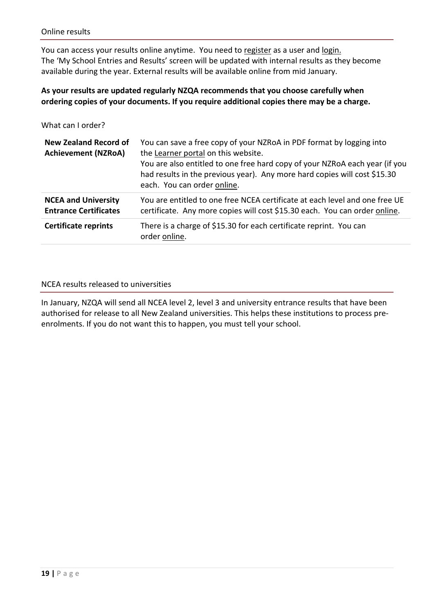You can access your results online anytime. You need to [register](https://secure.nzqa.govt.nz/for-learners/records/register.do?nsn) as a user and [login.](https://secure.nzqa.govt.nz/for-learners/records/login.do) The 'My School Entries and Results' screen will be updated with internal results as they become available during the year. External results will be available online from mid January.

#### **As your results are updated regularly NZQA recommends that you choose carefully when ordering copies of your documents. If you require additional copies there may be a charge.**

What can I order?

| <b>New Zealand Record of</b><br><b>Achievement (NZRoA)</b> | You can save a free copy of your NZRoA in PDF format by logging into<br>the Learner portal on this website.<br>You are also entitled to one free hard copy of your NZRoA each year (if you<br>had results in the previous year). Any more hard copies will cost \$15.30<br>each. You can order online. |
|------------------------------------------------------------|--------------------------------------------------------------------------------------------------------------------------------------------------------------------------------------------------------------------------------------------------------------------------------------------------------|
| <b>NCEA and University</b><br><b>Entrance Certificates</b> | You are entitled to one free NCEA certificate at each level and one free UE<br>certificate. Any more copies will cost \$15.30 each. You can order online.                                                                                                                                              |
| <b>Certificate reprints</b>                                | There is a charge of \$15.30 for each certificate reprint. You can<br>order online.                                                                                                                                                                                                                    |

#### NCEA results released to universities

In January, NZQA will send all NCEA level 2, level 3 and university entrance results that have been authorised for release to all New Zealand universities. This helps these institutions to process preenrolments. If you do not want this to happen, you must tell your school.